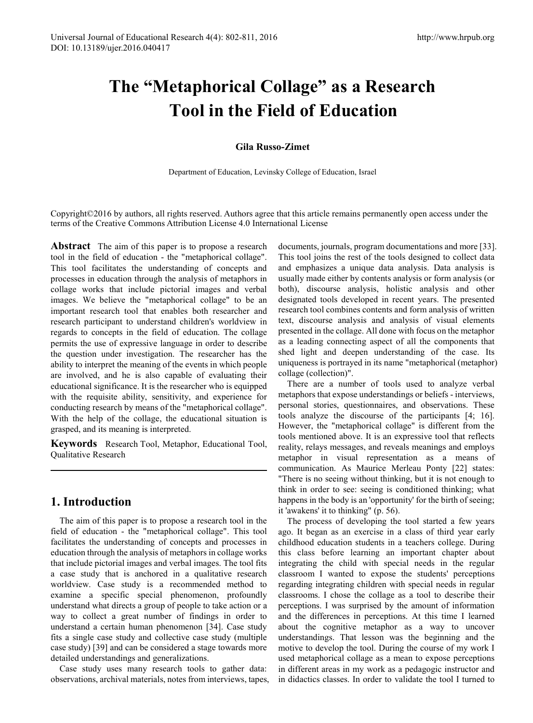# **The "Metaphorical Collage" as a Research Tool in the Field of Education**

## **Gila Russo-Zimet**

Department of Education, Levinsky College of Education, Israel

Copyright©2016 by authors, all rights reserved. Authors agree that this article remains permanently open access under the terms of the Creative Commons Attribution License 4.0 International License

**Abstract** The aim of this paper is to propose a research tool in the field of education - the "metaphorical collage". This tool facilitates the understanding of concepts and processes in education through the analysis of metaphors in collage works that include pictorial images and verbal images. We believe the "metaphorical collage" to be an important research tool that enables both researcher and research participant to understand children's worldview in regards to concepts in the field of education. The collage permits the use of expressive language in order to describe the question under investigation. The researcher has the ability to interpret the meaning of the events in which people are involved, and he is also capable of evaluating their educational significance. It is the researcher who is equipped with the requisite ability, sensitivity, and experience for conducting research by means of the "metaphorical collage". With the help of the collage, the educational situation is grasped, and its meaning is interpreted.

**Keywords** Research Tool, Metaphor, Educational Tool, Qualitative Research

## **1. Introduction**

The aim of this paper is to propose a research tool in the field of education - the "metaphorical collage". This tool facilitates the understanding of concepts and processes in education through the analysis of metaphors in collage works that include pictorial images and verbal images. The tool fits a case study that is anchored in a qualitative research worldview. Case study is a recommended method to examine a specific special phenomenon, profoundly understand what directs a group of people to take action or a way to collect a great number of findings in order to understand a certain human phenomenon [34]. Case study fits a single case study and collective case study (multiple case study) [39] and can be considered a stage towards more detailed understandings and generalizations.

Case study uses many research tools to gather data: observations, archival materials, notes from interviews, tapes,

documents, journals, program documentations and more [33]. This tool joins the rest of the tools designed to collect data and emphasizes a unique data analysis. Data analysis is usually made either by contents analysis or form analysis (or both), discourse analysis, holistic analysis and other designated tools developed in recent years. The presented research tool combines contents and form analysis of written text, discourse analysis and analysis of visual elements presented in the collage. All done with focus on the metaphor as a leading connecting aspect of all the components that shed light and deepen understanding of the case. Its uniqueness is portrayed in its name "metaphorical (metaphor) collage (collection)".

There are a number of tools used to analyze verbal metaphors that expose understandings or beliefs - interviews, personal stories, questionnaires, and observations. These tools analyze the discourse of the participants [4; 16]. However, the "metaphorical collage" is different from the tools mentioned above. It is an expressive tool that reflects reality, relays messages, and reveals meanings and employs metaphor in visual representation as a means of communication. As Maurice Merleau Ponty [22] states: "There is no seeing without thinking, but it is not enough to think in order to see: seeing is conditioned thinking; what happens in the body is an 'opportunity' for the birth of seeing; it 'awakens' it to thinking" (p. 56).

The process of developing the tool started a few years ago. It began as an exercise in a class of third year early childhood education students in a teachers college. During this class before learning an important chapter about integrating the child with special needs in the regular classroom I wanted to expose the students' perceptions regarding integrating children with special needs in regular classrooms. I chose the collage as a tool to describe their perceptions. I was surprised by the amount of information and the differences in perceptions. At this time I learned about the cognitive metaphor as a way to uncover understandings. That lesson was the beginning and the motive to develop the tool. During the course of my work I used metaphorical collage as a mean to expose perceptions in different areas in my work as a pedagogic instructor and in didactics classes. In order to validate the tool I turned to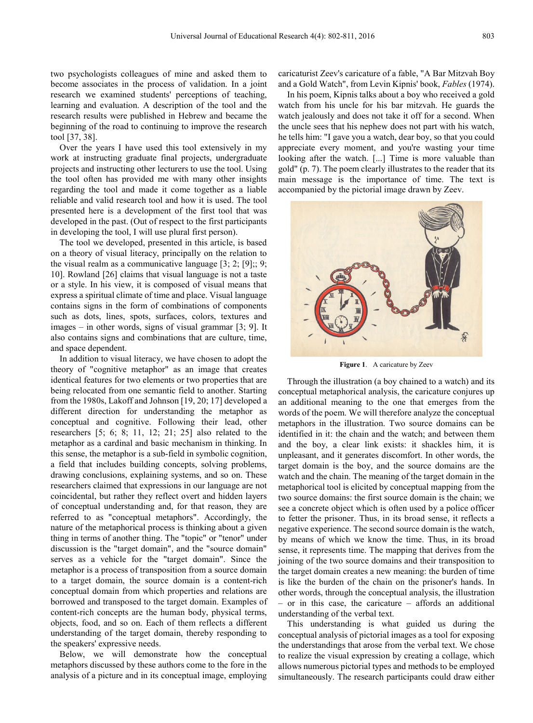two psychologists colleagues of mine and asked them to become associates in the process of validation. In a joint research we examined students' perceptions of teaching, learning and evaluation. A description of the tool and the research results were published in Hebrew and became the beginning of the road to continuing to improve the research tool [37, 38].

Over the years I have used this tool extensively in my work at instructing graduate final projects, undergraduate projects and instructing other lecturers to use the tool. Using the tool often has provided me with many other insights regarding the tool and made it come together as a liable reliable and valid research tool and how it is used. The tool presented here is a development of the first tool that was developed in the past. (Out of respect to the first participants in developing the tool, I will use plural first person).

The tool we developed, presented in this article, is based on a theory of visual literacy, principally on the relation to the visual realm as a communicative language  $[3; 2; [9];; 9;$ 10]. Rowland [26] claims that visual language is not a taste or a style. In his view, it is composed of visual means that express a spiritual climate of time and place. Visual language contains signs in the form of combinations of components such as dots, lines, spots, surfaces, colors, textures and images – in other words, signs of visual grammar [3; 9]. It also contains signs and combinations that are culture, time, and space dependent.

In addition to visual literacy, we have chosen to adopt the theory of "cognitive metaphor" as an image that creates identical features for two elements or two properties that are being relocated from one semantic field to another. Starting from the 1980s, Lakoff and Johnson [19, 20; 17] developed a different direction for understanding the metaphor as conceptual and cognitive. Following their lead, other researchers [5; 6; 8; 11, 12; 21; 25] also related to the metaphor as a cardinal and basic mechanism in thinking. In this sense, the metaphor is a sub-field in symbolic cognition, a field that includes building concepts, solving problems, drawing conclusions, explaining systems, and so on. These researchers claimed that expressions in our language are not coincidental, but rather they reflect overt and hidden layers of conceptual understanding and, for that reason, they are referred to as "conceptual metaphors". Accordingly, the nature of the metaphorical process is thinking about a given thing in terms of another thing. The "topic" or "tenor" under discussion is the "target domain", and the "source domain" serves as a vehicle for the "target domain". Since the metaphor is a process of transposition from a source domain to a target domain, the source domain is a content-rich conceptual domain from which properties and relations are borrowed and transposed to the target domain. Examples of content-rich concepts are the human body, physical terms, objects, food, and so on. Each of them reflects a different understanding of the target domain, thereby responding to the speakers' expressive needs.

Below, we will demonstrate how the conceptual metaphors discussed by these authors come to the fore in the analysis of a picture and in its conceptual image, employing caricaturist Zeev's caricature of a fable, "A Bar Mitzvah Boy and a Gold Watch", from Levin Kipnis' book, *Fables* (1974).

In his poem, Kipnis talks about a boy who received a gold watch from his uncle for his bar mitzvah. He guards the watch jealously and does not take it off for a second. When the uncle sees that his nephew does not part with his watch, he tells him: "I gave you a watch, dear boy, so that you could appreciate every moment, and you're wasting your time looking after the watch. [...] Time is more valuable than gold" (p. 7). The poem clearly illustrates to the reader that its main message is the importance of time. The text is accompanied by the pictorial image drawn by Zeev.



**Figure 1**. A caricature by Zeev

Through the illustration (a boy chained to a watch) and its conceptual metaphorical analysis, the caricature conjures up an additional meaning to the one that emerges from the words of the poem. We will therefore analyze the conceptual metaphors in the illustration. Two source domains can be identified in it: the chain and the watch; and between them and the boy, a clear link exists: it shackles him, it is unpleasant, and it generates discomfort. In other words, the target domain is the boy, and the source domains are the watch and the chain. The meaning of the target domain in the metaphorical tool is elicited by conceptual mapping from the two source domains: the first source domain is the chain; we see a concrete object which is often used by a police officer to fetter the prisoner. Thus, in its broad sense, it reflects a negative experience. The second source domain is the watch, by means of which we know the time. Thus, in its broad sense, it represents time. The mapping that derives from the joining of the two source domains and their transposition to the target domain creates a new meaning: the burden of time is like the burden of the chain on the prisoner's hands. In other words, through the conceptual analysis, the illustration – or in this case, the caricature – affords an additional understanding of the verbal text.

This understanding is what guided us during the conceptual analysis of pictorial images as a tool for exposing the understandings that arose from the verbal text. We chose to realize the visual expression by creating a collage, which allows numerous pictorial types and methods to be employed simultaneously. The research participants could draw either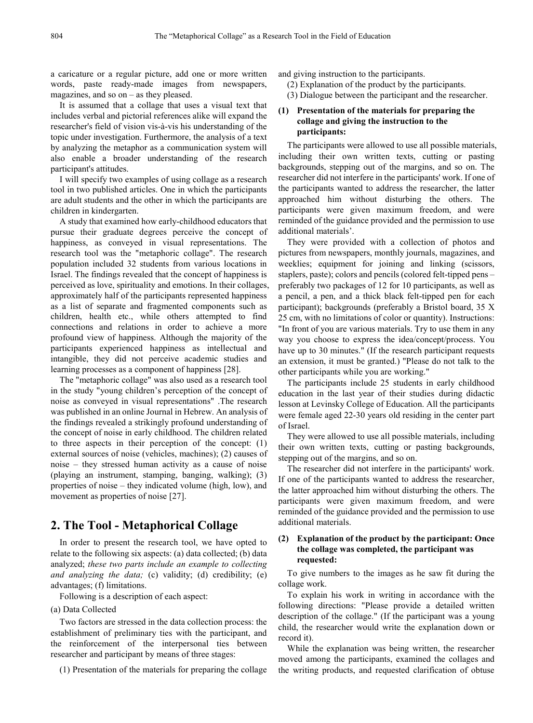a caricature or a regular picture, add one or more written words, paste ready-made images from newspapers, magazines, and so on – as they pleased.

It is assumed that a collage that uses a visual text that includes verbal and pictorial references alike will expand the researcher's field of vision vis-à-vis his understanding of the topic under investigation. Furthermore, the analysis of a text by analyzing the metaphor as a communication system will also enable a broader understanding of the research participant's attitudes.

I will specify two examples of using collage as a research tool in two published articles. One in which the participants are adult students and the other in which the participants are children in kindergarten.

A study that examined how early-childhood educators that pursue their graduate degrees perceive the concept of happiness, as conveyed in visual representations. The research tool was the "metaphoric collage". The research population included 32 students from various locations in Israel. The findings revealed that the concept of happiness is perceived as love, spirituality and emotions. In their collages, approximately half of the participants represented happiness as a list of separate and fragmented components such as children, health etc., while others attempted to find connections and relations in order to achieve a more profound view of happiness. Although the majority of the participants experienced happiness as intellectual and intangible, they did not perceive academic studies and learning processes as a component of happiness [28].

The "metaphoric collage" was also used as a research tool in the study "young children's perception of the concept of noise as conveyed in visual representations" .The research was published in an online Journal in Hebrew. An analysis of the findings revealed a strikingly profound understanding of the concept of noise in early childhood. The children related to three aspects in their perception of the concept: (1) external sources of noise (vehicles, machines); (2) causes of noise – they stressed human activity as a cause of noise (playing an instrument, stamping, banging, walking); (3) properties of noise – they indicated volume (high, low), and movement as properties of noise [27].

# **2. The Tool - Metaphorical Collage**

In order to present the research tool, we have opted to relate to the following six aspects: (a) data collected; (b) data analyzed; *these two parts include an example to collecting and analyzing the data;* (c) validity; (d) credibility; (e) advantages; (f) limitations.

Following is a description of each aspect:

#### (a) Data Collected

Two factors are stressed in the data collection process: the establishment of preliminary ties with the participant, and the reinforcement of the interpersonal ties between researcher and participant by means of three stages:

(1) Presentation of the materials for preparing the collage

and giving instruction to the participants.

- (2) Explanation of the product by the participants.
- (3) Dialogue between the participant and the researcher.

## **(1) Presentation of the materials for preparing the collage and giving the instruction to the participants:**

The participants were allowed to use all possible materials, including their own written texts, cutting or pasting backgrounds, stepping out of the margins, and so on. The researcher did not interfere in the participants' work. If one of the participants wanted to address the researcher, the latter approached him without disturbing the others. The participants were given maximum freedom, and were reminded of the guidance provided and the permission to use additional materials'.

They were provided with a collection of photos and pictures from newspapers, monthly journals, magazines, and weeklies; equipment for joining and linking (scissors, staplers, paste); colors and pencils (colored felt-tipped pens – preferably two packages of 12 for 10 participants, as well as a pencil, a pen, and a thick black felt-tipped pen for each participant); backgrounds (preferably a Bristol board, 35 X 25 cm, with no limitations of color or quantity). Instructions: "In front of you are various materials. Try to use them in any way you choose to express the idea/concept/process. You have up to 30 minutes." (If the research participant requests an extension, it must be granted.) "Please do not talk to the other participants while you are working."

The participants include 25 students in early childhood education in the last year of their studies during didactic lesson at Levinsky College of Education. All the participants were female aged 22-30 years old residing in the center part of Israel.

They were allowed to use all possible materials, including their own written texts, cutting or pasting backgrounds, stepping out of the margins, and so on.

The researcher did not interfere in the participants' work. If one of the participants wanted to address the researcher, the latter approached him without disturbing the others. The participants were given maximum freedom, and were reminded of the guidance provided and the permission to use additional materials.

## **(2) Explanation of the product by the participant: Once the collage was completed, the participant was requested:**

To give numbers to the images as he saw fit during the collage work.

To explain his work in writing in accordance with the following directions: "Please provide a detailed written description of the collage." (If the participant was a young child, the researcher would write the explanation down or record it).

While the explanation was being written, the researcher moved among the participants, examined the collages and the writing products, and requested clarification of obtuse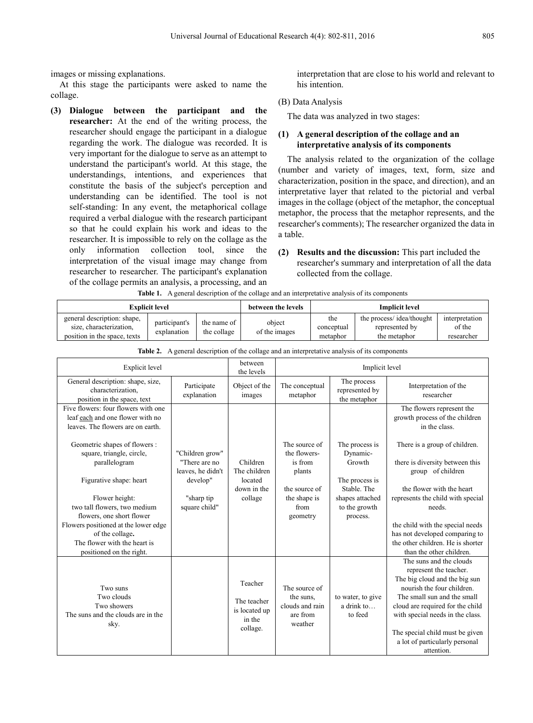images or missing explanations.

At this stage the participants were asked to name the collage.

**(3) Dialogue between the participant and the researcher:** At the end of the writing process, the researcher should engage the participant in a dialogue regarding the work. The dialogue was recorded. It is very important for the dialogue to serve as an attempt to understand the participant's world. At this stage, the understandings, intentions, and experiences that constitute the basis of the subject's perception and understanding can be identified. The tool is not self-standing: In any event, the metaphorical collage required a verbal dialogue with the research participant so that he could explain his work and ideas to the researcher. It is impossible to rely on the collage as the only information collection tool, since the interpretation of the visual image may change from researcher to researcher. The participant's explanation of the collage permits an analysis, a processing, and an **Table 1.** A general description of the collage and an interpretative analysis of its components

interpretation that are close to his world and relevant to his intention.

#### (B) Data Analysis

The data was analyzed in two stages:

## **(1) A general description of the collage and an interpretative analysis of its components**

The analysis related to the organization of the collage (number and variety of images, text, form, size and characterization, position in the space, and direction), and an interpretative layer that related to the pictorial and verbal images in the collage (object of the metaphor, the conceptual metaphor, the process that the metaphor represents, and the researcher's comments); The researcher organized the data in a table.

**(2) Results and the discussion:** This part included the researcher's summary and interpretation of all the data collected from the collage.

| Those It Is general accempation of the comage and an interpretative and join of his components |                              |                            |                         |                               |                                                            |                                        |  |  |  |  |  |
|------------------------------------------------------------------------------------------------|------------------------------|----------------------------|-------------------------|-------------------------------|------------------------------------------------------------|----------------------------------------|--|--|--|--|--|
| <b>Explicit level</b>                                                                          |                              |                            | between the levels      | <b>Implicit level</b>         |                                                            |                                        |  |  |  |  |  |
| general description: shape,<br>size, characterization.<br>position in the space, texts         | participant's<br>explanation | the name of<br>the collage | object<br>of the images | the<br>conceptual<br>metaphor | the process/idea/thought<br>represented by<br>the metaphor | interpretation<br>of the<br>researcher |  |  |  |  |  |

| <b>Explicit level</b>                                                                                               |                                                       | between<br>the levels                                         | Implicit level                                                       |                                                                               |                                                                                                                                                                                                                                                                                                            |
|---------------------------------------------------------------------------------------------------------------------|-------------------------------------------------------|---------------------------------------------------------------|----------------------------------------------------------------------|-------------------------------------------------------------------------------|------------------------------------------------------------------------------------------------------------------------------------------------------------------------------------------------------------------------------------------------------------------------------------------------------------|
| General description: shape, size,<br>characterization.<br>position in the space, text                               | Participate<br>explanation                            | Object of the<br>images                                       | The conceptual<br>metaphor                                           | The process<br>represented by<br>the metaphor                                 | Interpretation of the<br>researcher                                                                                                                                                                                                                                                                        |
| Five flowers: four flowers with one<br>leaf each and one flower with no<br>leaves. The flowers are on earth.        |                                                       |                                                               |                                                                      |                                                                               | The flowers represent the<br>growth process of the children<br>in the class.                                                                                                                                                                                                                               |
| Geometric shapes of flowers :<br>square, triangle, circle,<br>parallelogram                                         | "Children grow"<br>"There are no<br>leaves, he didn't | Children<br>The children                                      | The source of<br>the flowers-<br>is from<br>plants                   | The process is<br>Dynamic-<br>Growth                                          | There is a group of children.<br>there is diversity between this<br>group of children                                                                                                                                                                                                                      |
| Figurative shape: heart<br>Flower height:<br>two tall flowers, two medium<br>flowers, one short flower              | develop"<br>"sharp tip<br>square child"               | located<br>down in the<br>collage                             | the source of<br>the shape is<br>from<br>geometry                    | The process is<br>Stable. The<br>shapes attached<br>to the growth<br>process. | the flower with the heart<br>represents the child with special<br>needs.                                                                                                                                                                                                                                   |
| Flowers positioned at the lower edge<br>of the collage.<br>The flower with the heart is<br>positioned on the right. |                                                       |                                                               |                                                                      |                                                                               | the child with the special needs<br>has not developed comparing to<br>the other children. He is shorter<br>than the other children.                                                                                                                                                                        |
| Two suns<br>Two clouds<br>Two showers<br>The suns and the clouds are in the<br>sky.                                 |                                                       | Teacher<br>The teacher<br>is located up<br>in the<br>collage. | The source of<br>the suns.<br>clouds and rain<br>are from<br>weather | to water, to give<br>a drink to<br>to feed                                    | The suns and the clouds<br>represent the teacher.<br>The big cloud and the big sun<br>nourish the four children.<br>The small sun and the small<br>cloud are required for the child<br>with special needs in the class.<br>The special child must be given<br>a lot of particularly personal<br>attention. |

**Table 2.** A general description of the collage and an interpretative analysis of its components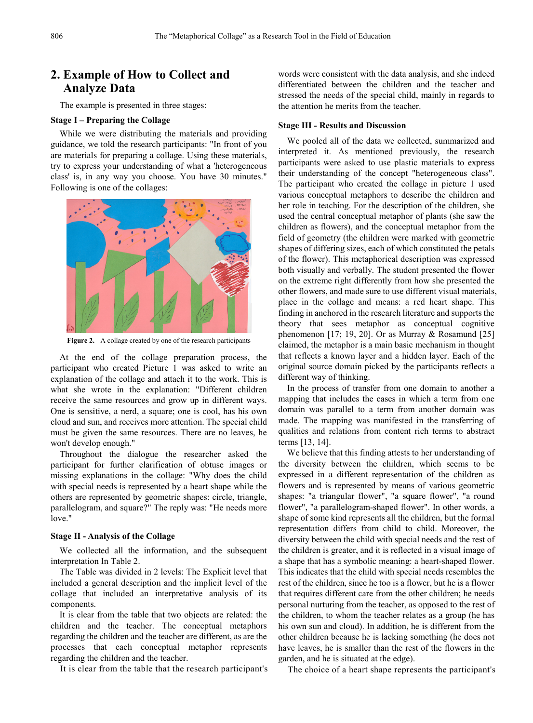# **2. Example of How to Collect and Analyze Data**

The example is presented in three stages:

### **Stage I – Preparing the Collage**

While we were distributing the materials and providing guidance, we told the research participants: "In front of you are materials for preparing a collage. Using these materials, try to express your understanding of what a 'heterogeneous class' is, in any way you choose. You have 30 minutes." Following is one of the collages:



**Figure 2.** A collage created by one of the research participants

At the end of the collage preparation process, the participant who created Picture 1 was asked to write an explanation of the collage and attach it to the work. This is what she wrote in the explanation: "Different children receive the same resources and grow up in different ways. One is sensitive, a nerd, a square; one is cool, has his own cloud and sun, and receives more attention. The special child must be given the same resources. There are no leaves, he won't develop enough."

Throughout the dialogue the researcher asked the participant for further clarification of obtuse images or missing explanations in the collage: "Why does the child with special needs is represented by a heart shape while the others are represented by geometric shapes: circle, triangle, parallelogram, and square?" The reply was: "He needs more love."

#### **Stage II - Analysis of the Collage**

We collected all the information, and the subsequent interpretation In Table 2.

The Table was divided in 2 levels: The Explicit level that included a general description and the implicit level of the collage that included an interpretative analysis of its components.

It is clear from the table that two objects are related: the children and the teacher. The conceptual metaphors regarding the children and the teacher are different, as are the processes that each conceptual metaphor represents regarding the children and the teacher.

It is clear from the table that the research participant's

words were consistent with the data analysis, and she indeed differentiated between the children and the teacher and stressed the needs of the special child, mainly in regards to the attention he merits from the teacher.

#### **Stage III - Results and Discussion**

We pooled all of the data we collected, summarized and interpreted it. As mentioned previously, the research participants were asked to use plastic materials to express their understanding of the concept "heterogeneous class". The participant who created the collage in picture 1 used various conceptual metaphors to describe the children and her role in teaching. For the description of the children, she used the central conceptual metaphor of plants (she saw the children as flowers), and the conceptual metaphor from the field of geometry (the children were marked with geometric shapes of differing sizes, each of which constituted the petals of the flower). This metaphorical description was expressed both visually and verbally. The student presented the flower on the extreme right differently from how she presented the other flowers, and made sure to use different visual materials, place in the collage and means: a red heart shape. This finding in anchored in the research literature and supports the theory that sees metaphor as conceptual cognitive phenomenon  $[17; 19, 20]$ . Or as Murray & Rosamund  $[25]$ claimed, the metaphor is a main basic mechanism in thought that reflects a known layer and a hidden layer. Each of the original source domain picked by the participants reflects a different way of thinking.

In the process of transfer from one domain to another a mapping that includes the cases in which a term from one domain was parallel to a term from another domain was made. The mapping was manifested in the transferring of qualities and relations from content rich terms to abstract terms [13, 14].

We believe that this finding attests to her understanding of the diversity between the children, which seems to be expressed in a different representation of the children as flowers and is represented by means of various geometric shapes: "a triangular flower", "a square flower", "a round flower", "a parallelogram-shaped flower". In other words, a shape of some kind represents all the children, but the formal representation differs from child to child. Moreover, the diversity between the child with special needs and the rest of the children is greater, and it is reflected in a visual image of a shape that has a symbolic meaning: a heart-shaped flower. This indicates that the child with special needs resembles the rest of the children, since he too is a flower, but he is a flower that requires different care from the other children; he needs personal nurturing from the teacher, as opposed to the rest of the children, to whom the teacher relates as a group (he has his own sun and cloud). In addition, he is different from the other children because he is lacking something (he does not have leaves, he is smaller than the rest of the flowers in the garden, and he is situated at the edge).

The choice of a heart shape represents the participant's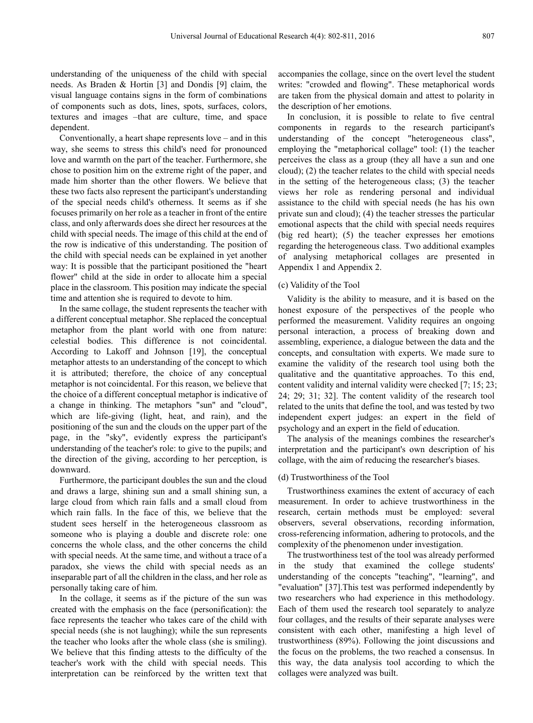understanding of the uniqueness of the child with special needs. As Braden & Hortin [3] and Dondis [9] claim, the visual language contains signs in the form of combinations of components such as dots, lines, spots, surfaces, colors, textures and images –that are culture, time, and space dependent.

Conventionally, a heart shape represents love – and in this way, she seems to stress this child's need for pronounced love and warmth on the part of the teacher. Furthermore, she chose to position him on the extreme right of the paper, and made him shorter than the other flowers. We believe that these two facts also represent the participant's understanding of the special needs child's otherness. It seems as if she focuses primarily on her role as a teacher in front of the entire class, and only afterwards does she direct her resources at the child with special needs. The image of this child at the end of the row is indicative of this understanding. The position of the child with special needs can be explained in yet another way: It is possible that the participant positioned the "heart flower" child at the side in order to allocate him a special place in the classroom. This position may indicate the special time and attention she is required to devote to him.

In the same collage, the student represents the teacher with a different conceptual metaphor. She replaced the conceptual metaphor from the plant world with one from nature: celestial bodies. This difference is not coincidental. According to Lakoff and Johnson [19], the conceptual metaphor attests to an understanding of the concept to which it is attributed; therefore, the choice of any conceptual metaphor is not coincidental. For this reason, we believe that the choice of a different conceptual metaphor is indicative of a change in thinking. The metaphors "sun" and "cloud", which are life-giving (light, heat, and rain), and the positioning of the sun and the clouds on the upper part of the page, in the "sky", evidently express the participant's understanding of the teacher's role: to give to the pupils; and the direction of the giving, according to her perception, is downward.

Furthermore, the participant doubles the sun and the cloud and draws a large, shining sun and a small shining sun, a large cloud from which rain falls and a small cloud from which rain falls. In the face of this, we believe that the student sees herself in the heterogeneous classroom as someone who is playing a double and discrete role: one concerns the whole class, and the other concerns the child with special needs. At the same time, and without a trace of a paradox, she views the child with special needs as an inseparable part of all the children in the class, and her role as personally taking care of him.

In the collage, it seems as if the picture of the sun was created with the emphasis on the face (personification): the face represents the teacher who takes care of the child with special needs (she is not laughing); while the sun represents the teacher who looks after the whole class (she is smiling). We believe that this finding attests to the difficulty of the teacher's work with the child with special needs. This interpretation can be reinforced by the written text that

accompanies the collage, since on the overt level the student writes: "crowded and flowing". These metaphorical words are taken from the physical domain and attest to polarity in the description of her emotions.

In conclusion, it is possible to relate to five central components in regards to the research participant's understanding of the concept "heterogeneous class", employing the "metaphorical collage" tool: (1) the teacher perceives the class as a group (they all have a sun and one cloud); (2) the teacher relates to the child with special needs in the setting of the heterogeneous class; (3) the teacher views her role as rendering personal and individual assistance to the child with special needs (he has his own private sun and cloud); (4) the teacher stresses the particular emotional aspects that the child with special needs requires (big red heart); (5) the teacher expresses her emotions regarding the heterogeneous class. Two additional examples of analysing metaphorical collages are presented in Appendix 1 and Appendix 2.

#### (c) Validity of the Tool

Validity is the ability to measure, and it is based on the honest exposure of the perspectives of the people who performed the measurement. Validity requires an ongoing personal interaction, a process of breaking down and assembling, experience, a dialogue between the data and the concepts, and consultation with experts. We made sure to examine the validity of the research tool using both the qualitative and the quantitative approaches. To this end, content validity and internal validity were checked [7; 15; 23; 24; 29; 31; 32]. The content validity of the research tool related to the units that define the tool, and was tested by two independent expert judges: an expert in the field of psychology and an expert in the field of education.

The analysis of the meanings combines the researcher's interpretation and the participant's own description of his collage, with the aim of reducing the researcher's biases.

#### (d) Trustworthiness of the Tool

Trustworthiness examines the extent of accuracy of each measurement. In order to achieve trustworthiness in the research, certain methods must be employed: several observers, several observations, recording information, cross-referencing information, adhering to protocols, and the complexity of the phenomenon under investigation.

The trustworthiness test of the tool was already performed in the study that examined the college students' understanding of the concepts "teaching", "learning", and "evaluation" [37].This test was performed independently by two researchers who had experience in this methodology. Each of them used the research tool separately to analyze four collages, and the results of their separate analyses were consistent with each other, manifesting a high level of trustworthiness (89%). Following the joint discussions and the focus on the problems, the two reached a consensus. In this way, the data analysis tool according to which the collages were analyzed was built.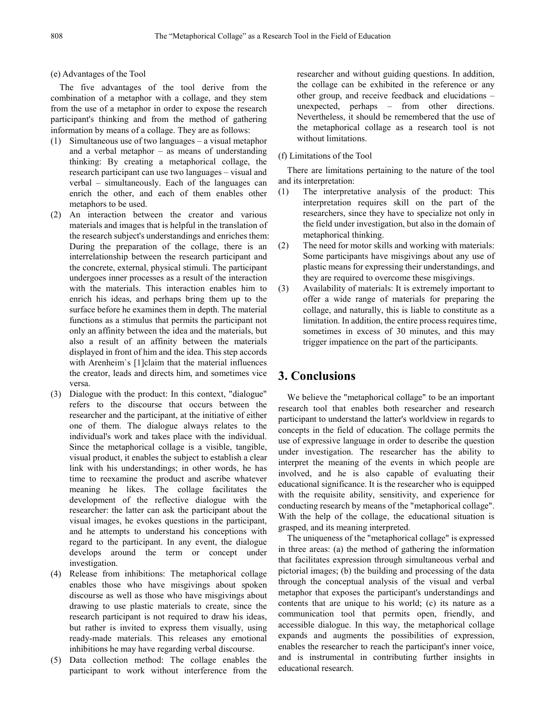(e) Advantages of the Tool

The five advantages of the tool derive from the combination of a metaphor with a collage, and they stem from the use of a metaphor in order to expose the research participant's thinking and from the method of gathering information by means of a collage. They are as follows:

- (1) Simultaneous use of two languages a visual metaphor and a verbal metaphor – as means of understanding thinking: By creating a metaphorical collage, the research participant can use two languages – visual and verbal – simultaneously. Each of the languages can enrich the other, and each of them enables other metaphors to be used.
- (2) An interaction between the creator and various materials and images that is helpful in the translation of the research subject's understandings and enriches them: During the preparation of the collage, there is an interrelationship between the research participant and the concrete, external, physical stimuli. The participant undergoes inner processes as a result of the interaction with the materials. This interaction enables him to enrich his ideas, and perhaps bring them up to the surface before he examines them in depth. The material functions as a stimulus that permits the participant not only an affinity between the idea and the materials, but also a result of an affinity between the materials displayed in front of him and the idea. This step accords with Arenheim's [1]claim that the material influences the creator, leads and directs him, and sometimes vice versa.
- (3) Dialogue with the product: In this context, "dialogue" refers to the discourse that occurs between the researcher and the participant, at the initiative of either one of them. The dialogue always relates to the individual's work and takes place with the individual. Since the metaphorical collage is a visible, tangible, visual product, it enables the subject to establish a clear link with his understandings; in other words, he has time to reexamine the product and ascribe whatever meaning he likes. The collage facilitates the development of the reflective dialogue with the researcher: the latter can ask the participant about the visual images, he evokes questions in the participant, and he attempts to understand his conceptions with regard to the participant. In any event, the dialogue develops around the term or concept under investigation.
- (4) Release from inhibitions: The metaphorical collage enables those who have misgivings about spoken discourse as well as those who have misgivings about drawing to use plastic materials to create, since the research participant is not required to draw his ideas, but rather is invited to express them visually, using ready-made materials. This releases any emotional inhibitions he may have regarding verbal discourse.
- (5) Data collection method: The collage enables the participant to work without interference from the

researcher and without guiding questions. In addition, the collage can be exhibited in the reference or any other group, and receive feedback and elucidations – unexpected, perhaps – from other directions. Nevertheless, it should be remembered that the use of the metaphorical collage as a research tool is not without limitations.

#### (f) Limitations of the Tool

There are limitations pertaining to the nature of the tool and its interpretation:

- (1) The interpretative analysis of the product: This interpretation requires skill on the part of the researchers, since they have to specialize not only in the field under investigation, but also in the domain of metaphorical thinking.
- (2) The need for motor skills and working with materials: Some participants have misgivings about any use of plastic means for expressing their understandings, and they are required to overcome these misgivings.
- (3) Availability of materials: It is extremely important to offer a wide range of materials for preparing the collage, and naturally, this is liable to constitute as a limitation. In addition, the entire process requires time, sometimes in excess of 30 minutes, and this may trigger impatience on the part of the participants.

## **3. Conclusions**

We believe the "metaphorical collage" to be an important research tool that enables both researcher and research participant to understand the latter's worldview in regards to concepts in the field of education. The collage permits the use of expressive language in order to describe the question under investigation. The researcher has the ability to interpret the meaning of the events in which people are involved, and he is also capable of evaluating their educational significance. It is the researcher who is equipped with the requisite ability, sensitivity, and experience for conducting research by means of the "metaphorical collage". With the help of the collage, the educational situation is grasped, and its meaning interpreted.

The uniqueness of the "metaphorical collage" is expressed in three areas: (a) the method of gathering the information that facilitates expression through simultaneous verbal and pictorial images; (b) the building and processing of the data through the conceptual analysis of the visual and verbal metaphor that exposes the participant's understandings and contents that are unique to his world; (c) its nature as a communication tool that permits open, friendly, and accessible dialogue. In this way, the metaphorical collage expands and augments the possibilities of expression, enables the researcher to reach the participant's inner voice, and is instrumental in contributing further insights in educational research.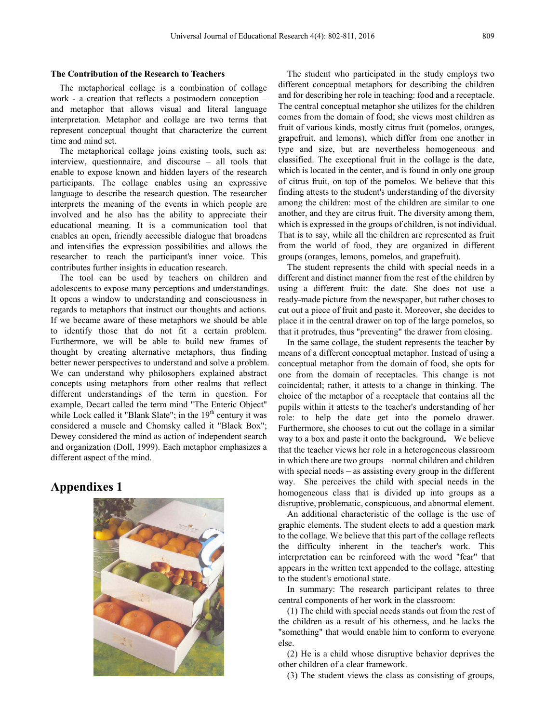#### **The Contribution of the Research to Teachers**

The metaphorical collage is a combination of collage work - a creation that reflects a postmodern conception – and metaphor that allows visual and literal language interpretation. Metaphor and collage are two terms that represent conceptual thought that characterize the current time and mind set.

The metaphorical collage joins existing tools, such as: interview, questionnaire, and discourse – all tools that enable to expose known and hidden layers of the research participants. The collage enables using an expressive language to describe the research question. The researcher interprets the meaning of the events in which people are involved and he also has the ability to appreciate their educational meaning. It is a communication tool that enables an open, friendly accessible dialogue that broadens and intensifies the expression possibilities and allows the researcher to reach the participant's inner voice. This contributes further insights in education research.

The tool can be used by teachers on children and adolescents to expose many perceptions and understandings. It opens a window to understanding and consciousness in regards to metaphors that instruct our thoughts and actions. If we became aware of these metaphors we should be able to identify those that do not fit a certain problem. Furthermore, we will be able to build new frames of thought by creating alternative metaphors, thus finding better newer perspectives to understand and solve a problem. We can understand why philosophers explained abstract concepts using metaphors from other realms that reflect different understandings of the term in question. For example, Decart called the term mind "The Enteric Object" while Lock called it "Blank Slate"; in the  $19<sup>th</sup>$  century it was considered a muscle and Chomsky called it "Black Box"; Dewey considered the mind as action of independent search and organization (Doll, 1999). Each metaphor emphasizes a different aspect of the mind.

# **Appendixes 1**



The student who participated in the study employs two different conceptual metaphors for describing the children and for describing her role in teaching: food and a receptacle. The central conceptual metaphor she utilizes for the children comes from the domain of food; she views most children as fruit of various kinds, mostly citrus fruit (pomelos, oranges, grapefruit, and lemons), which differ from one another in type and size, but are nevertheless homogeneous and classified. The exceptional fruit in the collage is the date, which is located in the center, and is found in only one group of citrus fruit, on top of the pomelos. We believe that this finding attests to the student's understanding of the diversity among the children: most of the children are similar to one another, and they are citrus fruit. The diversity among them, which is expressed in the groups of children, is not individual. That is to say, while all the children are represented as fruit from the world of food, they are organized in different groups (oranges, lemons, pomelos, and grapefruit).

The student represents the child with special needs in a different and distinct manner from the rest of the children by using a different fruit: the date. She does not use a ready-made picture from the newspaper, but rather choses to cut out a piece of fruit and paste it. Moreover, she decides to place it in the central drawer on top of the large pomelos, so that it protrudes, thus "preventing" the drawer from closing.

In the same collage, the student represents the teacher by means of a different conceptual metaphor. Instead of using a conceptual metaphor from the domain of food, she opts for one from the domain of receptacles. This change is not coincidental; rather, it attests to a change in thinking. The choice of the metaphor of a receptacle that contains all the pupils within it attests to the teacher's understanding of her role: to help the date get into the pomelo drawer. Furthermore, she chooses to cut out the collage in a similar way to a box and paste it onto the background**.** We believe that the teacher views her role in a heterogeneous classroom in which there are two groups – normal children and children with special needs – as assisting every group in the different way. She perceives the child with special needs in the homogeneous class that is divided up into groups as a disruptive, problematic, conspicuous, and abnormal element.

An additional characteristic of the collage is the use of graphic elements. The student elects to add a question mark to the collage. We believe that this part of the collage reflects the difficulty inherent in the teacher's work. This interpretation can be reinforced with the word "fear" that appears in the written text appended to the collage, attesting to the student's emotional state.

In summary: The research participant relates to three central components of her work in the classroom:

(1) The child with special needs stands out from the rest of the children as a result of his otherness, and he lacks the "something" that would enable him to conform to everyone else.

(2) He is a child whose disruptive behavior deprives the other children of a clear framework.

(3) The student views the class as consisting of groups,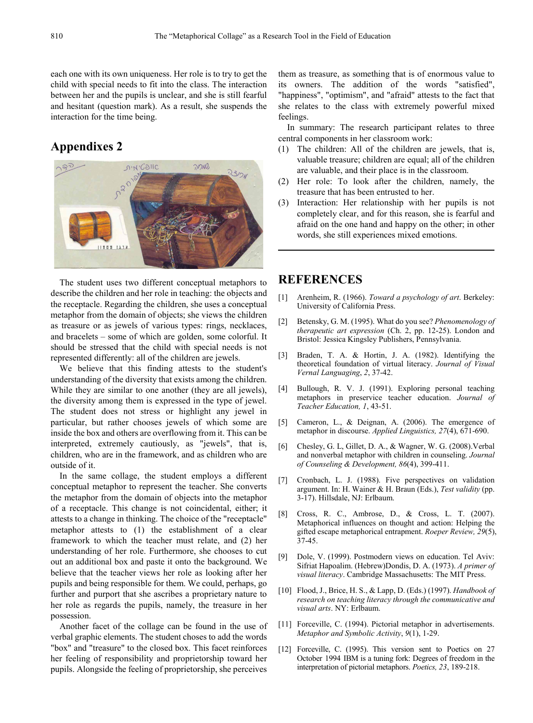each one with its own uniqueness. Her role is to try to get the child with special needs to fit into the class. The interaction between her and the pupils is unclear, and she is still fearful and hesitant (question mark). As a result, she suspends the interaction for the time being.

# **Appendixes 2**



The student uses two different conceptual metaphors to describe the children and her role in teaching: the objects and the receptacle. Regarding the children, she uses a conceptual metaphor from the domain of objects; she views the children as treasure or as jewels of various types: rings, necklaces, and bracelets – some of which are golden, some colorful. It should be stressed that the child with special needs is not represented differently: all of the children are jewels.

We believe that this finding attests to the student's understanding of the diversity that exists among the children. While they are similar to one another (they are all jewels), the diversity among them is expressed in the type of jewel. The student does not stress or highlight any jewel in particular, but rather chooses jewels of which some are inside the box and others are overflowing from it. This can be interpreted, extremely cautiously, as "jewels", that is, children, who are in the framework, and as children who are outside of it.

In the same collage, the student employs a different conceptual metaphor to represent the teacher. She converts the metaphor from the domain of objects into the metaphor of a receptacle. This change is not coincidental, either; it attests to a change in thinking. The choice of the "receptacle" metaphor attests to (1) the establishment of a clear framework to which the teacher must relate, and (2) her understanding of her role. Furthermore, she chooses to cut out an additional box and paste it onto the background. We believe that the teacher views her role as looking after her pupils and being responsible for them. We could, perhaps, go further and purport that she ascribes a proprietary nature to her role as regards the pupils, namely, the treasure in her possession.

Another facet of the collage can be found in the use of verbal graphic elements. The student choses to add the words "box" and "treasure" to the closed box. This facet reinforces her feeling of responsibility and proprietorship toward her pupils. Alongside the feeling of proprietorship, she perceives them as treasure, as something that is of enormous value to its owners. The addition of the words "satisfied", "happiness", "optimism", and "afraid" attests to the fact that she relates to the class with extremely powerful mixed feelings.

In summary: The research participant relates to three central components in her classroom work:

- (1) The children: All of the children are jewels, that is, valuable treasure; children are equal; all of the children are valuable, and their place is in the classroom.
- (2) Her role: To look after the children, namely, the treasure that has been entrusted to her.
- (3) Interaction: Her relationship with her pupils is not completely clear, and for this reason, she is fearful and afraid on the one hand and happy on the other; in other words, she still experiences mixed emotions.

# **REFERENCES**

- [1] Arenheim, R. (1966). *Toward a psychology of art*. Berkeley: University of California Press.
- [2] Betensky, G. M. (1995). What do you see? *Phenomenology of therapeutic art expression* (Ch. 2, pp. 12-25). London and Bristol: Jessica Kingsley Publishers, Pennsylvania.
- [3] Braden, T. A. & Hortin, J. A. (1982). Identifying the theoretical foundation of virtual literacy. *Journal of Visual Vernal Languaging*, *2*, 37-42.
- [4] Bullough, R. V. J. (1991). Exploring personal teaching metaphors in preservice teacher education. *Journal of Teacher Education, 1*, 43-51.
- [5] Cameron, L., & Deignan, A. (2006). The emergence of metaphor in discourse. *Applied Linguistics, 27*(4), 671-690.
- [6] Chesley, G. L, Gillet, D. A., & Wagner, W. G. (2008).Verbal and nonverbal metaphor with children in counseling. *Journal of Counseling & Development, 86*(4), 399-411.
- [7] Cronbach, L. J. (1988). Five perspectives on validation argument. In: H. Wainer & H. Braun (Eds.), *Test validity* (pp. 3-17). Hillsdale, NJ: Erlbaum.
- [8] Cross, R. C., Ambrose, D., & Cross, L. T. (2007). Metaphorical influences on thought and action: Helping the gifted escape metaphorical entrapment. *Roeper Review, 29*(5), 37-45.
- [9] Dole, V. (1999). Postmodern views on education. Tel Aviv: Sifriat Hapoalim. (Hebrew)Dondis, D. A. (1973). *A primer of visual literacy*. Cambridge Massachusetts: The MIT Press.
- [10] Flood, J., Brice, H. S., & Lapp, D. (Eds.) (1997). *Handbook of research on teaching literacy through the communicative and visual arts*. NY: Erlbaum.
- [11] Forceville, C. (1994). Pictorial metaphor in advertisements. *Metaphor and Symbolic Activity*, *9*(1), 1-29.
- [12] Forceville, C. (1995). This version sent to Poetics on 27 October 1994 IBM is a tuning fork: Degrees of freedom in the interpretation of pictorial metaphors. *Poetics, 23*, 189-218.